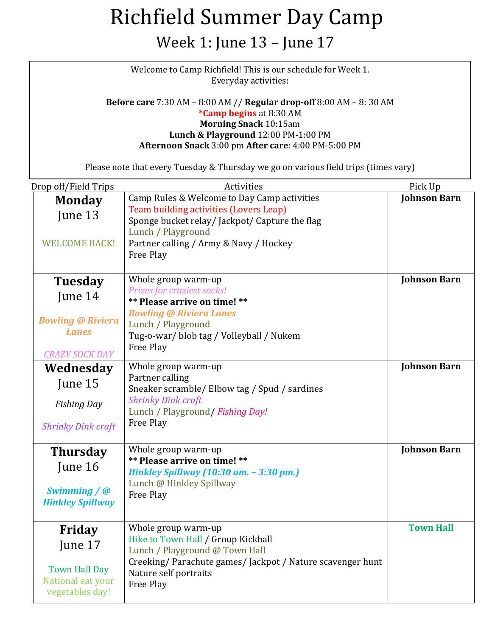Week 1: June 13 – June 17

Welcome to Camp Richfield! This is our schedule for Week 1. Everyday activities:

**Before care** 7:30 AM – 8:00 AM // **Regular drop-off** 8:00 AM – 8: 30 AM **\*Camp begins** at 8:30 AM **Morning Snack** 10:15am **Lunch & Playground** 12:00 PM-1:00 PM **Afternoon Snack** 3:00 pm **After care**: 4:00 PM-5:00 PM

| Drop off/Field Trips                 | Activities                                                           | Pick Up             |
|--------------------------------------|----------------------------------------------------------------------|---------------------|
| <b>Monday</b>                        | Camp Rules & Welcome to Day Camp activities                          | <b>Johnson Barn</b> |
| June 13                              | Team building activities (Lovers Leap)                               |                     |
|                                      | Sponge bucket relay/Jackpot/ Capture the flag<br>Lunch / Playground  |                     |
| <b>WELCOME BACK!</b>                 | Partner calling / Army & Navy / Hockey                               |                     |
|                                      | Free Play                                                            |                     |
|                                      |                                                                      |                     |
| Tuesday                              | Whole group warm-up                                                  | <b>Johnson Barn</b> |
| June 14                              | Prizes for craziest socks!                                           |                     |
|                                      | ** Please arrive on time! **<br><b>Bowling @ Riviera Lanes</b>       |                     |
| <b>Bowling @ Riviera</b>             | Lunch / Playground                                                   |                     |
| <b>Lanes</b>                         | Tug-o-war/blob tag / Volleyball / Nukem                              |                     |
| <b>CRAZY SOCK DAY</b>                | Free Play                                                            |                     |
| Wednesday                            | Whole group warm-up                                                  | <b>Johnson Barn</b> |
| June 15                              | Partner calling                                                      |                     |
|                                      | Sneaker scramble/ Elbow tag / Spud / sardines                        |                     |
| <b>Fishing Day</b>                   | <b>Shrinky Dink craft</b><br>Lunch / Playground/ Fishing Day!        |                     |
| <b>Shrinky Dink craft</b>            | Free Play                                                            |                     |
|                                      |                                                                      |                     |
| <b>Thursday</b>                      | Whole group warm-up                                                  | <b>Johnson Barn</b> |
| June 16                              | ** Please arrive on time! **                                         |                     |
|                                      | Hinkley Spillway (10:30 am. - 3:30 pm.)                              |                     |
| Swimming / @                         | Lunch @ Hinkley Spillway<br>Free Play                                |                     |
| <b>Hinkley Spillway</b>              |                                                                      |                     |
|                                      |                                                                      |                     |
| Friday                               | Whole group warm-up                                                  | <b>Town Hall</b>    |
| June 17                              | Hike to Town Hall / Group Kickball<br>Lunch / Playground @ Town Hall |                     |
|                                      | Creeking/Parachute games/Jackpot / Nature scavenger hunt             |                     |
| <b>Town Hall Day</b>                 | Nature self portraits                                                |                     |
| National eat your<br>vegetables day! | Free Play                                                            |                     |
|                                      |                                                                      |                     |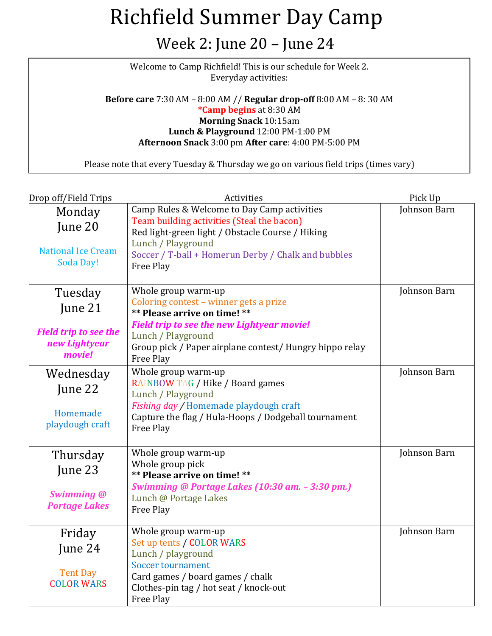#### Week 2: June 20 – June 24

Welcome to Camp Richfield! This is our schedule for Week 2. Everyday activities:

**Before care** 7:30 AM – 8:00 AM // **Regular drop-off** 8:00 AM – 8: 30 AM **\*Camp begins** at 8:30 AM **Morning Snack** 10:15am **Lunch & Playground** 12:00 PM-1:00 PM **Afternoon Snack** 3:00 pm **After care**: 4:00 PM-5:00 PM

| Drop off/Field Trips                                    | Activities                                                                                                                                      | Pick Up      |
|---------------------------------------------------------|-------------------------------------------------------------------------------------------------------------------------------------------------|--------------|
| Monday                                                  | Camp Rules & Welcome to Day Camp activities                                                                                                     | Johnson Barn |
| June 20                                                 | Team building activities (Steal the bacon)<br>Red light-green light / Obstacle Course / Hiking                                                  |              |
| <b>National Ice Cream</b><br><b>Soda Day!</b>           | Lunch / Playground<br>Soccer / T-ball + Homerun Derby / Chalk and bubbles<br>Free Play                                                          |              |
| Tuesday                                                 | Whole group warm-up                                                                                                                             | Johnson Barn |
| June 21                                                 | Coloring contest - winner gets a prize<br>** Please arrive on time! **                                                                          |              |
| <b>Field trip to see the</b><br>new Lightyear<br>movie! | <b>Field trip to see the new Lightyear movie!</b><br>Lunch / Playground<br>Group pick / Paper airplane contest/ Hungry hippo relay<br>Free Play |              |
| Wednesday                                               | Whole group warm-up                                                                                                                             | Johnson Barn |
| June 22                                                 | RAINBOW TAG / Hike / Board games<br>Lunch / Playground                                                                                          |              |
| Homemade<br>playdough craft                             | Fishing day / Homemade playdough craft<br>Capture the flag / Hula-Hoops / Dodgeball tournament<br>Free Play                                     |              |
| Thursday                                                | Whole group warm-up                                                                                                                             | Johnson Barn |
| June 23                                                 | Whole group pick<br>** Please arrive on time! **                                                                                                |              |
| <b>Swimming @</b><br><b>Portage Lakes</b>               | Swimming @ Portage Lakes (10:30 am. - 3:30 pm.)<br>Lunch @ Portage Lakes<br>Free Play                                                           |              |
| Friday                                                  | Whole group warm-up                                                                                                                             | Johnson Barn |
| June 24                                                 | Set up tents / COLOR WARS<br>Lunch / playground                                                                                                 |              |
| <b>Tent Day</b><br><b>COLOR WARS</b>                    | <b>Soccer tournament</b><br>Card games / board games / chalk<br>Clothes-pin tag / hot seat / knock-out<br>Free Play                             |              |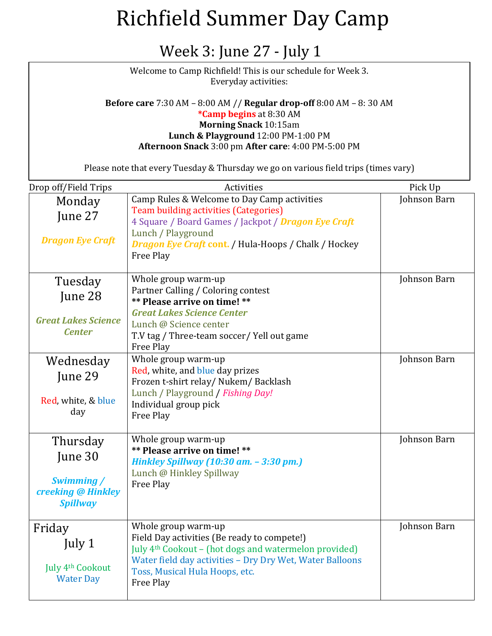#### Week 3: June 27 - July 1

Welcome to Camp Richfield! This is our schedule for Week 3. Everyday activities:

#### **Before care** 7:30 AM – 8:00 AM // **Regular drop-off** 8:00 AM – 8: 30 AM **\*Camp begins** at 8:30 AM **Morning Snack** 10:15am **Lunch & Playground** 12:00 PM-1:00 PM **Afternoon Snack** 3:00 pm **After care**: 4:00 PM-5:00 PM

| Drop off/Field Trips                                                       | Activities                                                                                                                                                                                                                                         | Pick Up      |
|----------------------------------------------------------------------------|----------------------------------------------------------------------------------------------------------------------------------------------------------------------------------------------------------------------------------------------------|--------------|
| Monday                                                                     | Camp Rules & Welcome to Day Camp activities<br><b>Team building activities (Categories)</b>                                                                                                                                                        | Johnson Barn |
| June 27<br><b>Dragon Eye Craft</b>                                         | 4 Square / Board Games / Jackpot / Dragon Eye Craft<br>Lunch / Playground<br><b>Dragon Eye Craft cont.</b> / Hula-Hoops / Chalk / Hockey<br>Free Play                                                                                              |              |
| Tuesday<br>June 28<br><b>Great Lakes Science</b><br><b>Center</b>          | Whole group warm-up<br>Partner Calling / Coloring contest<br>** Please arrive on time! **<br><b>Great Lakes Science Center</b><br>Lunch @ Science center<br>T.V tag / Three-team soccer/ Yell out game<br>Free Play                                | Johnson Barn |
| Wednesday<br>June 29<br>Red, white, & blue<br>day                          | Whole group warm-up<br>Red, white, and blue day prizes<br>Frozen t-shirt relay/ Nukem/ Backlash<br>Lunch / Playground / Fishing Day!<br>Individual group pick<br>Free Play                                                                         | Johnson Barn |
| Thursday<br>June 30<br>Swimming /<br>creeking @ Hinkley<br><b>Spillway</b> | Whole group warm-up<br>** Please arrive on time! **<br>Hinkley Spillway (10:30 am. - 3:30 pm.)<br>Lunch @ Hinkley Spillway<br>Free Play                                                                                                            | Johnson Barn |
| Friday<br>July 1<br>July 4 <sup>th</sup> Cookout<br><b>Water Day</b>       | Whole group warm-up<br>Field Day activities (Be ready to compete!)<br>July 4 <sup>th</sup> Cookout - (hot dogs and watermelon provided)<br>Water field day activities - Dry Dry Wet, Water Balloons<br>Toss, Musical Hula Hoops, etc.<br>Free Play | Johnson Barn |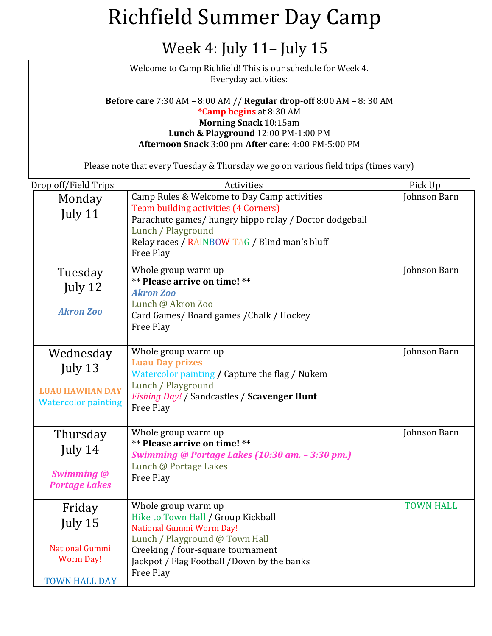#### Week 4: July 11– July 15

Welcome to Camp Richfield! This is our schedule for Week 4. Everyday activities:

**Before care** 7:30 AM – 8:00 AM // **Regular drop-off** 8:00 AM – 8: 30 AM **\*Camp begins** at 8:30 AM **Morning Snack** 10:15am **Lunch & Playground** 12:00 PM-1:00 PM **Afternoon Snack** 3:00 pm **After care**: 4:00 PM-5:00 PM

| Drop off/Field Trips                                                                   | Activities                                                                                                                                                                                                                              | Pick Up          |
|----------------------------------------------------------------------------------------|-----------------------------------------------------------------------------------------------------------------------------------------------------------------------------------------------------------------------------------------|------------------|
| Monday<br>July 11                                                                      | Camp Rules & Welcome to Day Camp activities<br><b>Team building activities (4 Corners)</b><br>Parachute games/hungry hippo relay / Doctor dodgeball<br>Lunch / Playground<br>Relay races / RAINBOW TAG / Blind man's bluff<br>Free Play | Johnson Barn     |
| Tuesday<br>July 12<br><b>Akron Zoo</b>                                                 | Whole group warm up<br>** Please arrive on time! **<br><b>Akron Zoo</b><br>Lunch @ Akron Zoo<br>Card Games/ Board games / Chalk / Hockey<br>Free Play                                                                                   | Johnson Barn     |
| Wednesday<br>July 13<br><b>LUAU HAWIIAN DAY</b><br><b>Watercolor painting</b>          | Whole group warm up<br><b>Luau Day prizes</b><br>Watercolor painting / Capture the flag / Nukem<br>Lunch / Playground<br>Fishing Day! / Sandcastles / Scavenger Hunt<br>Free Play                                                       | Johnson Barn     |
| Thursday<br>July 14<br><b>Swimming @</b><br><b>Portage Lakes</b>                       | Whole group warm up<br>** Please arrive on time! **<br>Swimming @ Portage Lakes (10:30 am. - 3:30 pm.)<br>Lunch @ Portage Lakes<br>Free Play                                                                                            | Johnson Barn     |
| Friday<br>July 15<br><b>National Gummi</b><br><b>Worm Day!</b><br><b>TOWN HALL DAY</b> | Whole group warm up<br>Hike to Town Hall / Group Kickball<br><b>National Gummi Worm Day!</b><br>Lunch / Playground @ Town Hall<br>Creeking / four-square tournament<br>Jackpot / Flag Football /Down by the banks<br>Free Play          | <b>TOWN HALL</b> |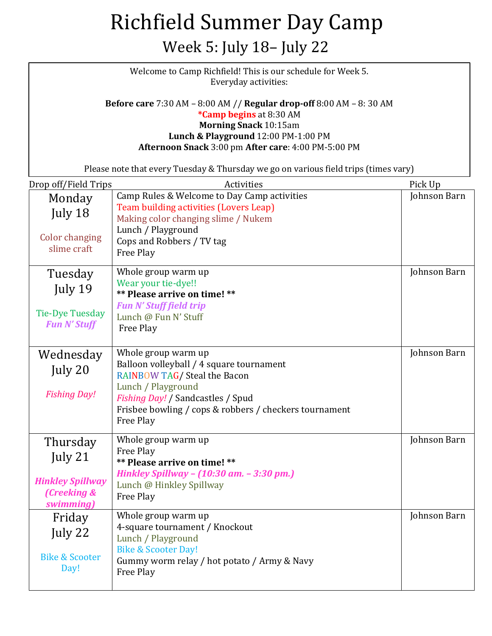#### Week 5: July 18– July 22

| Welcome to Camp Richfield! This is our schedule for Week 5.<br>Everyday activities:                                                                                                                                                 |                                                                                                                                |              |
|-------------------------------------------------------------------------------------------------------------------------------------------------------------------------------------------------------------------------------------|--------------------------------------------------------------------------------------------------------------------------------|--------------|
| <b>Before care 7:30 AM - 8:00 AM // Regular drop-off 8:00 AM - 8:30 AM</b><br>*Camp begins at 8:30 AM<br><b>Morning Snack 10:15am</b><br>Lunch & Playground 12:00 PM-1:00 PM<br>Afternoon Snack 3:00 pm After care: 4:00 PM-5:00 PM |                                                                                                                                |              |
|                                                                                                                                                                                                                                     | Please note that every Tuesday & Thursday we go on various field trips (times vary)                                            |              |
| Drop off/Field Trips                                                                                                                                                                                                                | Activities                                                                                                                     | Pick Up      |
| Monday<br>July 18                                                                                                                                                                                                                   | Camp Rules & Welcome to Day Camp activities<br>Team building activities (Lovers Leap)<br>Making color changing slime / Nukem   | Johnson Barn |
| <b>Color changing</b><br>slime craft                                                                                                                                                                                                | Lunch / Playground<br>Cops and Robbers / TV tag<br>Free Play                                                                   |              |
| Tuesday<br>July 19                                                                                                                                                                                                                  | Whole group warm up<br>Wear your tie-dye!!<br>** Please arrive on time! **                                                     | Johnson Barn |
| <b>Tie-Dye Tuesday</b><br><b>Fun N' Stuff</b>                                                                                                                                                                                       | <b>Fun N' Stuff field trip</b><br>Lunch @ Fun N' Stuff<br>Free Play                                                            |              |
| Wednesday<br>July 20                                                                                                                                                                                                                | Whole group warm up<br>Balloon volleyball / 4 square tournament<br>RAINBOW TAG/ Steal the Bacon                                | Johnson Barn |
| <b>Fishing Day!</b>                                                                                                                                                                                                                 | Lunch / Playground<br>Fishing Day! / Sandcastles / Spud<br>Frisbee bowling / cops & robbers / checkers tournament<br>Free Play |              |
| Thursday<br>July $21$                                                                                                                                                                                                               | Whole group warm up<br>Free Play<br>** Please arrive on time! **                                                               | Johnson Barn |
| <b>Hinkley Spillway</b><br>(Creeking &<br>swimming)                                                                                                                                                                                 | Hinkley Spillway - (10:30 am. - 3:30 pm.)<br>Lunch @ Hinkley Spillway<br>Free Play                                             |              |
| Friday<br>July 22                                                                                                                                                                                                                   | Whole group warm up<br>4-square tournament / Knockout<br>Lunch / Playground<br><b>Bike &amp; Scooter Day!</b>                  | Johnson Barn |
| <b>Bike &amp; Scooter</b><br>Day!                                                                                                                                                                                                   | Gummy worm relay / hot potato / Army & Navy<br>Free Play                                                                       |              |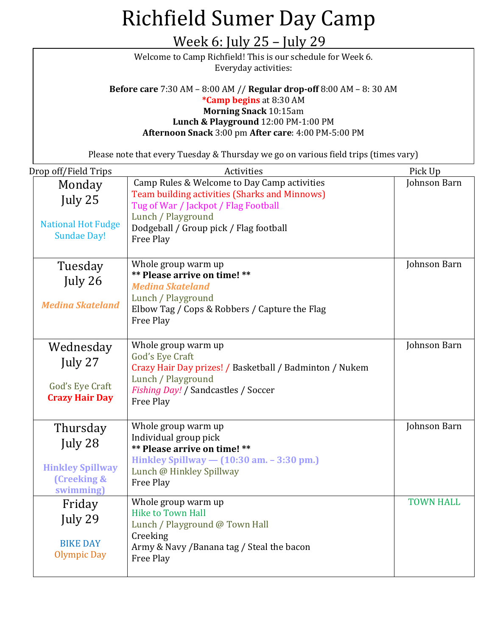| <u> Week 6: July 25 – July 29</u>                                                                                                                                                                                                   |                                                                                                                                                                                                                                        |                         |
|-------------------------------------------------------------------------------------------------------------------------------------------------------------------------------------------------------------------------------------|----------------------------------------------------------------------------------------------------------------------------------------------------------------------------------------------------------------------------------------|-------------------------|
| Welcome to Camp Richfield! This is our schedule for Week 6.<br>Everyday activities:                                                                                                                                                 |                                                                                                                                                                                                                                        |                         |
| <b>Before care 7:30 AM - 8:00 AM // Regular drop-off 8:00 AM - 8:30 AM</b><br>*Camp begins at 8:30 AM<br><b>Morning Snack 10:15am</b><br>Lunch & Playground 12:00 PM-1:00 PM<br>Afternoon Snack 3:00 pm After care: 4:00 PM-5:00 PM |                                                                                                                                                                                                                                        |                         |
|                                                                                                                                                                                                                                     | Please note that every Tuesday & Thursday we go on various field trips (times vary)                                                                                                                                                    |                         |
| Drop off/Field Trips<br>Monday<br>July 25<br><b>National Hot Fudge</b><br><b>Sundae Day!</b>                                                                                                                                        | Activities<br>Camp Rules & Welcome to Day Camp activities<br><b>Team building activities (Sharks and Minnows)</b><br>Tug of War / Jackpot / Flag Football<br>Lunch / Playground<br>Dodgeball / Group pick / Flag football<br>Free Play | Pick Up<br>Johnson Barn |
| Tuesday<br>July 26<br><b>Medina Skateland</b>                                                                                                                                                                                       | Whole group warm up<br>** Please arrive on time! **<br><b>Medina Skateland</b><br>Lunch / Playground<br>Elbow Tag / Cops & Robbers / Capture the Flag<br>Free Play                                                                     | Johnson Barn            |
| Wednesday<br>July 27<br>God's Eye Craft<br><b>Crazy Hair Day</b>                                                                                                                                                                    | Whole group warm up<br>God's Eye Craft<br>Crazy Hair Day prizes! / Basketball / Badminton / Nukem<br>Lunch / Playground<br>Fishing Day! / Sandcastles / Soccer<br>Free Play                                                            | Johnson Barn            |
| Thursday<br>July 28<br><b>Hinkley Spillway</b><br>(Creeking &<br>swimming)                                                                                                                                                          | Whole group warm up<br>Individual group pick<br>** Please arrive on time! **<br>Hinkley Spillway - (10:30 am. - 3:30 pm.)<br>Lunch @ Hinkley Spillway<br>Free Play                                                                     | Johnson Barn            |
| Friday<br>July 29<br><b>BIKE DAY</b><br>Olympic Day                                                                                                                                                                                 | Whole group warm up<br><b>Hike to Town Hall</b><br>Lunch / Playground @ Town Hall<br>Creeking<br>Army & Navy / Banana tag / Steal the bacon<br>Free Play                                                                               | <b>TOWN HALL</b>        |